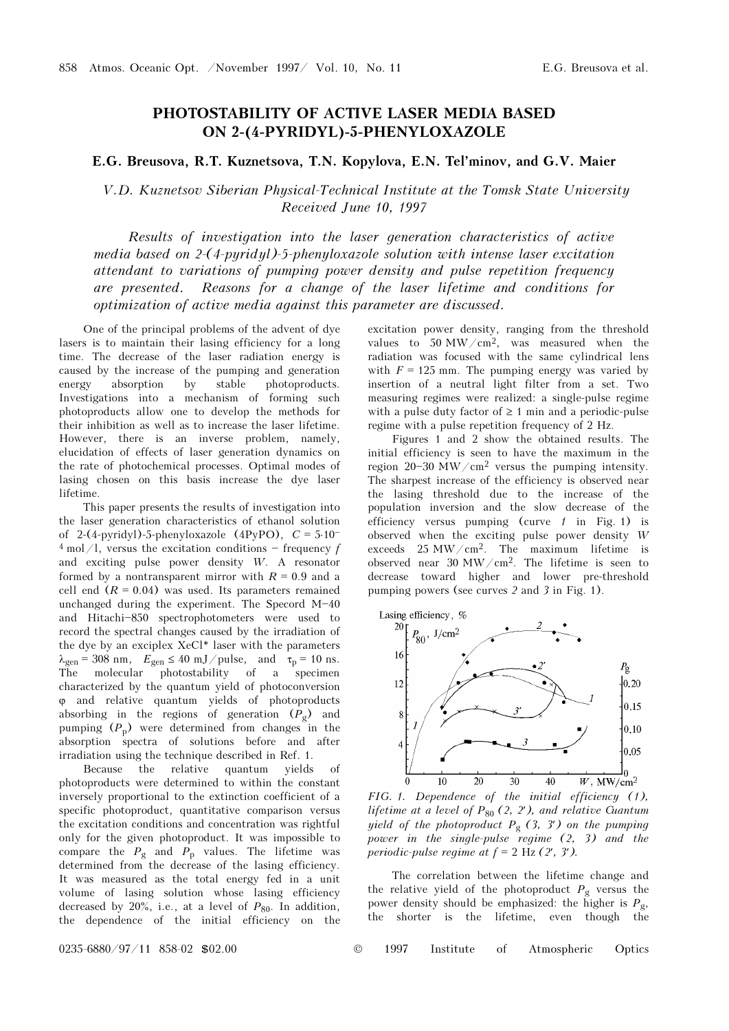## PHOTOSTABILITY OF ACTIVE LASER MEDIA BASED ON 2-(4-PYRIDYL)-5-PHENYLOXAZOLE

## E.G. Breusova, R.T. Kuznetsova, T.N. Kopylova, E.N. Tel'minov, and G.V. Maier

V.D. Kuznetsov Siberian Physical-Technical Institute at the Tomsk State University Received June 10, 1997

Results of investigation into the laser generation characteristics of active media based on 2-(4-pyridyl)-5-phenyloxazole solution with intense laser excitation attendant to variations of pumping power density and pulse repetition frequency are presented. Reasons for a change of the laser lifetime and conditions for optimization of active media against this parameter are discussed.

One of the principal problems of the advent of dye lasers is to maintain their lasing efficiency for a long time. The decrease of the laser radiation energy is caused by the increase of the pumping and generation energy absorption by stable photoproducts. Investigations into a mechanism of forming such photoproducts allow one to develop the methods for their inhibition as well as to increase the laser lifetime. However, there is an inverse problem, namely, elucidation of effects of laser generation dynamics on the rate of photochemical processes. Optimal modes of lasing chosen on this basis increase the dye laser lifetime.

This paper presents the results of investigation into the laser generation characteristics of ethanol solution of 2-(4-pyridyl)-5-phenyloxazole (4PyPO),  $C = 5.10^{-1}$  $4 \text{ mol}$ /l, versus the excitation conditions - frequency f and exciting pulse power density W. A resonator formed by a nontransparent mirror with  $R = 0.9$  and a cell end  $(R = 0.04)$  was used. Its parameters remained unchanged during the experiment. The Specord  $M-40$ and Hitachi-850 spectrophotometers were used to record the spectral changes caused by the irradiation of the dye by an exciplex XeCl\* laser with the parameters  $\lambda_{gen} = 308$  nm,  $E_{gen} \le 40$  mJ/pulse, and  $\tau_{p} = 10$  ns.<br>The molecular photostability of a specimen characterized by the quantum yield of photoconversion ϕ and relative quantum yields of photoproducts absorbing in the regions of generation  $(P_g)$  and pumping  $(P_p)$  were determined from changes in the absorption spectra of solutions before and after irradiation using the technique described in Ref. 1.

Because the relative quantum yields photoproducts were determined to within the constant inversely proportional to the extinction coefficient of a specific photoproduct, quantitative comparison versus the excitation conditions and concentration was rightful only for the given photoproduct. It was impossible to compare the  $P_g$  and  $P_p$  values. The lifetime was determined from the decrease of the lasing efficiency. It was measured as the total energy fed in a unit volume of lasing solution whose lasing efficiency decreased by 20%, i.e., at a level of  $P_{80}$ . In addition, the dependence of the initial efficiency on the excitation power density, ranging from the threshold values to  $50 \text{ MW/cm}^2$ , was measured when the radiation was focused with the same cylindrical lens with  $F = 125$  mm. The pumping energy was varied by insertion of a neutral light filter from a set. Two measuring regimes were realized: a single-pulse regime with a pulse duty factor of  $\geq 1$  min and a periodic-pulse regime with a pulse repetition frequency of 2 Hz.

Figures 1 and 2 show the obtained results. The initial efficiency is seen to have the maximum in the region 20-30 MW/cm<sup>2</sup> versus the pumping intensity. The sharpest increase of the efficiency is observed near the lasing threshold due to the increase of the population inversion and the slow decrease of the efficiency versus pumping (curve  $1$  in Fig. 1) is observed when the exciting pulse power density W exceeds 25 MW/cm2. The maximum lifetime is observed near 30 MW/cm<sup>2</sup>. The lifetime is seen to decrease toward higher and lower pre-threshold pumping powers (see curves 2 and 3 in Fig. 1).



FIG. 1. Dependence of the initial efficiency (1), lifetime at a level of  $P_{80}$  (2, 2'), and relative Guantum yield of the photoproduct  $P_g$  (3, 3') on the pumping power in the single-pulse regime  $(2, 3)$  and the periodic-pulse regime at  $f = 2$  Hz  $(2', 3')$ .

The correlation between the lifetime change and the relative yield of the photoproduct  $P_g$  versus the power density should be emphasized: the higher is  $P_g$ , the shorter is the lifetime, even though the shorter is the lifetime, even though the